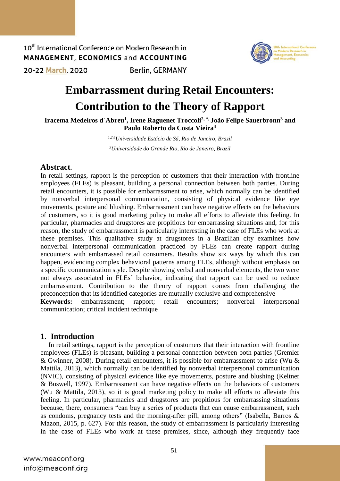10<sup>th</sup> International Conference on Modern Research in MANAGEMENT, ECONOMICS and ACCOUNTING 20-22 March, 2020 **Berlin, GERMANY** 



# **Embarrassment during Retail Encounters: Contribution to the Theory of Rapport**

**Iracema Medeiros d´Abreu<sup>1</sup> , Irene Raguenet Troccoli2, \*, João Felipe Sauerbronn<sup>3</sup> and Paulo Roberto da Costa Vieira<sup>4</sup>**

> *1,2,4Universidade Estácio de Sá, Rio de Janeiro, Brazil <sup>3</sup>Universidade do Grande Rio, Rio de Janeiro, Brazil*

### **Abstract.**

In retail settings, rapport is the perception of customers that their interaction with frontline employees (FLEs) is pleasant, building a personal connection between both parties. During retail encounters, it is possible for embarrassment to arise, which normally can be identified by nonverbal interpersonal communication, consisting of physical evidence like eye movements, posture and blushing. Embarrassment can have negative effects on the behaviors of customers, so it is good marketing policy to make all efforts to alleviate this feeling. In particular, pharmacies and drugstores are propitious for embarrassing situations and, for this reason, the study of embarrassment is particularly interesting in the case of FLEs who work at these premises. This qualitative study at drugstores in a Brazilian city examines how nonverbal interpersonal communication practiced by FLEs can create rapport during encounters with embarrassed retail consumers. Results show six ways by which this can happen, evidencing complex behavioral patterns among FLEs, although without emphasis on a specific communication style. Despite showing verbal and nonverbal elements, the two were not always associated in FLEs´ behavior, indicating that rapport can be used to reduce embarrassment. Contribution to the theory of rapport comes from challenging the preconception that its identified categories are mutually exclusive and comprehensive

**Keywords:** embarrassment; rapport; retail encounters; nonverbal interpersonal communication; critical incident technique

### **1. Introduction**

In retail settings, rapport is the perception of customers that their interaction with frontline employees (FLEs) is pleasant, building a personal connection between both parties (Gremler & Gwinner, 2008). During retail encounters, it is possible for embarrassment to arise (Wu  $&$ Mattila, 2013), which normally can be identified by nonverbal interpersonal communication (NVIC), consisting of physical evidence like eye movements, posture and blushing (Keltner & Buswell, 1997). Embarrassment can have negative effects on the behaviors of customers (Wu & Mattila, 2013), so it is good marketing policy to make all efforts to alleviate this feeling. In particular, pharmacies and drugstores are propitious for embarrassing situations because, there, consumers "can buy a series of products that can cause embarrassment, such as condoms, pregnancy tests and the morning-after pill, among others" (Isabella, Barros & Mazon, 2015, p. 627). For this reason, the study of embarrassment is particularly interesting in the case of FLEs who work at these premises, since, although they frequently face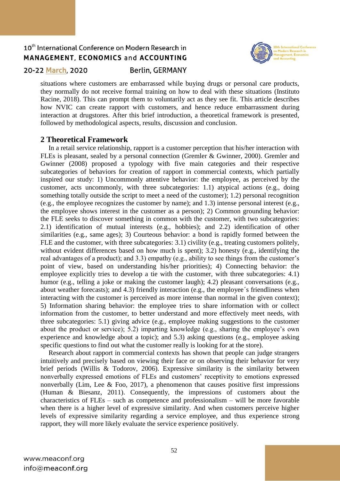

### 20-22 March, 2020

### **Berlin, GERMANY**

situations where customers are embarrassed while buying drugs or personal care products, they normally do not receive formal training on how to deal with these situations (Instituto Racine, 2018). This can prompt them to voluntarily act as they see fit. This article describes how NVIC can create rapport with customers, and hence reduce embarrassment during interaction at drugstores. After this brief introduction, a theoretical framework is presented, followed by methodological aspects, results, discussion and conclusion.

### **2 Theoretical Framework**

In a retail service relationship, rapport is a customer perception that his/her interaction with FLEs is pleasant, sealed by a personal connection (Gremler & Gwinner, 2000). Gremler and Gwinner (2008) proposed a typology with five main categories and their respective subcategories of behaviors for creation of rapport in commercial contexts, which partially inspired our study: 1) Uncommonly attentive behavior: the employee, as perceived by the customer, acts uncommonly, with three subcategories: 1.1) atypical actions (e.g., doing something totally outside the script to meet a need of the customer); 1.2) personal recognition (e.g., the employee recognizes the customer by name); and 1.3) intense personal interest (e.g., the employee shows interest in the customer as a person); 2) Common grounding behavior: the FLE seeks to discover something in common with the customer, with two subcategories: 2.1) identification of mutual interests (e.g., hobbies); and 2.2) identification of other similarities (e.g., same ages); 3) Courteous behavior: a bond is rapidly formed between the FLE and the customer, with three subcategories: 3.1) civility (e.g., treating customers politely, without evident differences based on how much is spent); 3.2) honesty (e.g., identifying the real advantages of a product); and 3.3) empathy (e.g., ability to see things from the customer's point of view, based on understanding his/her priorities); 4) Connecting behavior: the employee explicitly tries to develop a tie with the customer, with three subcategories: 4.1) humor (e.g., telling a joke or making the customer laugh); 4.2) pleasant conversations (e.g., about weather forecasts); and 4.3) friendly interaction (e.g., the employee´s friendliness when interacting with the customer is perceived as more intense than normal in the given context); 5) Information sharing behavior: the employee tries to share information with or collect information from the customer, to better understand and more effectively meet needs, with three subcategories: 5.1) giving advice (e.g., employee making suggestions to the customer about the product or service); 5.2) imparting knowledge (e.g., sharing the employee's own experience and knowledge about a topic); and 5.3) asking questions (e.g., employee asking specific questions to find out what the customer really is looking for at the store).

Research about rapport in commercial contexts has shown that people can judge strangers intuitively and precisely based on viewing their face or on observing their behavior for very brief periods (Willis & Todorov, 2006). Expressive similarity is the similarity between nonverbally expressed emotions of FLEs and customers' receptivity to emotions expressed nonverbally (Lim, Lee  $\&$  Foo, 2017), a phenomenon that causes positive first impressions (Human & Biesanz, 2011). Consequently, the impressions of customers about the characteristics of FLEs – such as competence and professionalism – will be more favorable when there is a higher level of expressive similarity. And when customers perceive higher levels of expressive similarity regarding a service employee, and thus experience strong rapport, they will more likely evaluate the service experience positively.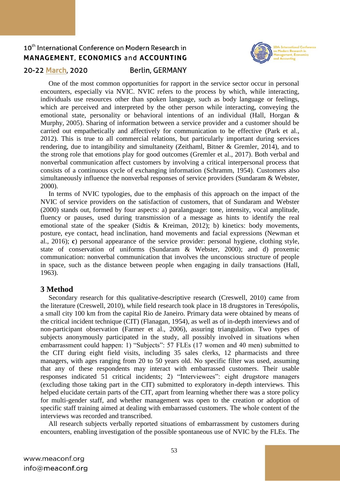

### 20-22 March, 2020

### **Berlin, GERMANY**

One of the most common opportunities for rapport in the service sector occur in personal encounters, especially via NVIC. NVIC refers to the process by which, while interacting, individuals use resources other than spoken language, such as body language or feelings, which are perceived and interpreted by the other person while interacting, conveying the emotional state, personality or behavioral intentions of an individual (Hall, Horgan & Murphy, 2005). Sharing of information between a service provider and a customer should be carried out empathetically and affectively for communication to be effective (Park et al., 2012). This is true to all commercial relations, but particularly important during services rendering, due to intangibility and simultaneity (Zeithaml, Bitner & Gremler, 2014), and to the strong role that emotions play for good outcomes (Gremler et al., 2017). Both verbal and nonverbal communication affect customers by involving a critical interpersonal process that consists of a continuous cycle of exchanging information (Schramm, 1954). Customers also simultaneously influence the nonverbal responses of service providers (Sundaram & Webster, 2000).

In terms of NVIC typologies, due to the emphasis of this approach on the impact of the NVIC of service providers on the satisfaction of customers, that of Sundaram and Webster (2000) stands out, formed by four aspects: a) paralanguage: tone, intensity, vocal amplitude, fluency or pauses, used during transmission of a message as hints to identify the real emotional state of the speaker (Sidtis & Kreiman, 2012); b) kinetics: body movements, posture, eye contact, head inclination, hand movements and facial expressions (Newman et al., 2016); **c**) personal appearance of the service provider: personal hygiene, clothing style, state of conservation of uniforms (Sundaram & Webster, 2000); and d) proxemic communication: nonverbal communication that involves the unconscious structure of people in space, such as the distance between people when engaging in daily transactions (Hall, 1963).

### **3 Method**

Secondary research for this qualitative-descriptive research (Creswell, 2010) came from the literature (Creswell, 2010), while field research took place in 18 drugstores in Teresópolis, a small city 100 km from the capital Rio de Janeiro. Primary data were obtained by means of the critical incident technique (CIT) (Flanagan, 1954), as well as of in-depth interviews and of non-participant observation (Farmer et al., 2006), assuring triangulation. Two types of subjects anonymously participated in the study, all possibly involved in situations when embarrassment could happen: 1) "Subjects": 57 FLEs (17 women and 40 men) submitted to the CIT during eight field visits, including 35 sales clerks, 12 pharmacists and three managers, with ages ranging from 20 to 50 years old. No specific filter was used, assuming that any of these respondents may interact with embarrassed customers. Their usable responses indicated 51 critical incidents; 2) "Interviewees": eight drugstore managers (excluding those taking part in the CIT) submitted to exploratory in-depth interviews. This helped elucidate certain parts of the CIT, apart from learning whether there was a store policy for multi-gender staff, and whether management was open to the creation or adoption of specific staff training aimed at dealing with embarrassed customers. The whole content of the interviews was recorded and transcribed.

All research subjects verbally reported situations of embarrassment by customers during encounters, enabling investigation of the possible spontaneous use of NVIC by the FLEs. The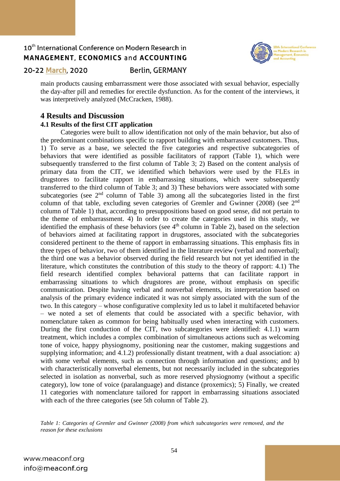

20-22 March, 2020

### **Berlin, GERMANY**

main products causing embarrassment were those associated with sexual behavior, especially the day-after pill and remedies for erectile dysfunction. As for the content of the interviews, it was interpretively analyzed (McCracken, 1988).

### **4 Results and Discussion**

#### **4.1 Results of the first CIT application**

Categories were built to allow identification not only of the main behavior, but also of the predominant combinations specific to rapport building with embarrassed customers. Thus, 1) To serve as a base, we selected the five categories and respective subcategories of behaviors that were identified as possible facilitators of rapport (Table 1), which were subsequently transferred to the first column of Table 3; 2) Based on the content analysis of primary data from the CIT, we identified which behaviors were used by the FLEs in drugstores to facilitate rapport in embarrassing situations, which were subsequently transferred to the third column of Table 3; and 3) These behaviors were associated with some subcategories (see  $2<sup>nd</sup>$  column of Table 3) among all the subcategories listed in the first column of that table, excluding seven categories of Gremler and Gwinner (2008) (see 2<sup>nd</sup> column of Table 1) that, according to presuppositions based on good sense, did not pertain to the theme of embarrassment. 4) In order to create the categories used in this study, we identified the emphasis of these behaviors (see  $4<sup>th</sup>$  column in Table 2), based on the selection of behaviors aimed at facilitating rapport in drugstores, associated with the subcategories considered pertinent to the theme of rapport in embarrassing situations. This emphasis fits in three types of behavior, two of them identified in the literature review (verbal and nonverbal); the third one was a behavior observed during the field research but not yet identified in the literature, which constitutes the contribution of this study to the theory of rapport: 4.1) The field research identified complex behavioral patterns that can facilitate rapport in embarrassing situations to which drugstores are prone, without emphasis on specific communication. Despite having verbal and nonverbal elements, its interpretation based on analysis of the primary evidence indicated it was not simply associated with the sum of the two. In this category – whose configurative complexity led us to label it multifaceted behavior – we noted a set of elements that could be associated with a specific behavior, with nomenclature taken as common for being habitually used when interacting with customers. During the first conduction of the CIT, two subcategories were identified: 4.1.1) warm treatment, which includes a complex combination of simultaneous actions such as welcoming tone of voice, happy physiognomy, positioning near the customer, making suggestions and supplying information; and 4.1.2) professionally distant treatment, with a dual association: a) with some verbal elements, such as connection through information and questions; and b) with characteristically nonverbal elements, but not necessarily included in the subcategories selected in isolation as nonverbal, such as more reserved physiognomy (without a specific category), low tone of voice (paralanguage) and distance (proxemics); 5) Finally, we created 11 categories with nomenclature tailored for rapport in embarrassing situations associated with each of the three categories (see 5th column of Table 2).

*Table 1: Categories of Gremler and Gwinner (2008) from which subcategories were removed, and the reason for these exclusions*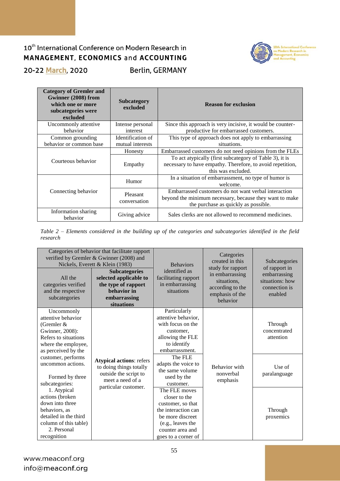### 10<sup>th</sup> International Conference on Modern Research in MANAGEMENT, ECONOMICS and ACCOUNTING **Berlin, GERMANY** 20-22 March, 2020



| <b>Category of Gremler and</b><br>Gwinner (2008) from<br>which one or more<br>subcategories were<br>excluded | <b>Subcategory</b><br>excluded        | <b>Reason for exclusion</b>                                                                                                                             |
|--------------------------------------------------------------------------------------------------------------|---------------------------------------|---------------------------------------------------------------------------------------------------------------------------------------------------------|
| Uncommonly attentive<br>behavior                                                                             | Intense personal<br>interest          | Since this approach is very incisive, it would be counter-<br>productive for embarrassed customers.                                                     |
| Common grounding<br>behavior or common base                                                                  | Identification of<br>mutual interests | This type of approach does not apply to embarrassing<br>situations.                                                                                     |
|                                                                                                              | Honesty                               | Embarrassed customers do not need opinions from the FLEs                                                                                                |
| Courteous behavior                                                                                           | Empathy                               | To act atypically (first subcategory of Table 3), it is<br>necessary to have empathy. Therefore, to avoid repetition,<br>this was excluded.             |
|                                                                                                              | Humor                                 | In a situation of embarrassment, no type of humor is<br>welcome.                                                                                        |
| Connecting behavior                                                                                          | Pleasant<br>conversation              | Embarrassed customers do not want verbal interaction<br>beyond the minimum necessary, because they want to make<br>the purchase as quickly as possible. |
| Information sharing<br>behavior                                                                              | Giving advice                         | Sales clerks are not allowed to recommend medicines.                                                                                                    |

*Table 2 – Elements considered in the building up of the categories and subcategories identified in the field research*

| All the<br>categories verified<br>and the respective<br>subcategories                                                                              | Categories of behavior that facilitate rapport<br>verified by Gremler & Gwinner (2008) and<br>Nickels, Everett & Klein (1983)<br><b>Subcategories</b><br>selected applicable to<br>the type of rapport<br>behavior in<br>embarrassing<br>situations | <b>Behaviors</b><br>identified as<br>facilitating rapport<br>in embarrassing<br>situations                                                                     | Categories<br>created in this<br>study for rapport<br>in embarrassing<br>situations.<br>according to the<br>emphasis of the<br>behavior | Subcategories<br>of rapport in<br>embarrassing<br>situations: how<br>connection is<br>enabled |
|----------------------------------------------------------------------------------------------------------------------------------------------------|-----------------------------------------------------------------------------------------------------------------------------------------------------------------------------------------------------------------------------------------------------|----------------------------------------------------------------------------------------------------------------------------------------------------------------|-----------------------------------------------------------------------------------------------------------------------------------------|-----------------------------------------------------------------------------------------------|
| Uncommonly<br>attentive behavior<br>(Gremler &<br>Gwinner, 2008):<br>Refers to situations<br>where the employee,<br>as perceived by the            |                                                                                                                                                                                                                                                     | Particularly<br>attentive behavior,<br>with focus on the<br>customer,<br>allowing the FLE<br>to identify<br>embarrassment.                                     |                                                                                                                                         | Through<br>concentrated<br>attention                                                          |
| customer, performs<br>uncommon actions.<br>Formed by three<br>subcategories:                                                                       | <b>Atypical actions: refers</b><br>to doing things totally<br>outside the script to<br>meet a need of a                                                                                                                                             | The FLE<br>adapts the voice to<br>the same volume<br>used by the<br>customer.                                                                                  | <b>Behavior</b> with<br>nonverbal<br>emphasis                                                                                           | Use of<br>paralanguage                                                                        |
| 1. Atypical<br>actions (broken<br>down into three<br>behaviors, as<br>detailed in the third<br>column of this table)<br>2. Personal<br>recognition | particular customer.                                                                                                                                                                                                                                | The FLE moves<br>closer to the<br>customer, so that<br>the interaction can<br>be more discreet<br>(e.g., leaves the<br>counter area and<br>goes to a corner of |                                                                                                                                         | Through<br>proxemics                                                                          |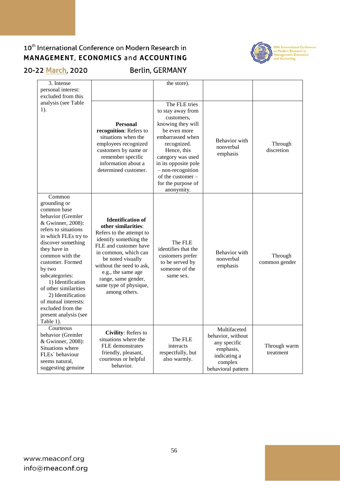

## 20-22 March, 2020

Berlin, GERMANY

| 3. Intense<br>personal interest:<br>excluded from this                                                                                                                                                                                                                                                                                                                                         |                                                                                                                                                                                                                                                                                                 | the store).                                                                                                                                                                                                                                                         |                                                                                                                 |                           |
|------------------------------------------------------------------------------------------------------------------------------------------------------------------------------------------------------------------------------------------------------------------------------------------------------------------------------------------------------------------------------------------------|-------------------------------------------------------------------------------------------------------------------------------------------------------------------------------------------------------------------------------------------------------------------------------------------------|---------------------------------------------------------------------------------------------------------------------------------------------------------------------------------------------------------------------------------------------------------------------|-----------------------------------------------------------------------------------------------------------------|---------------------------|
| analysis (see Table<br>$1$ ).                                                                                                                                                                                                                                                                                                                                                                  | <b>Personal</b><br>recognition: Refers to<br>situations when the<br>employees recognized<br>customers by name or<br>remember specific<br>information about a<br>determined customer.                                                                                                            | The FLE tries<br>to stay away from<br>customers,<br>knowing they will<br>be even more<br>embarrassed when<br>recognized.<br>Hence, this<br>category was used<br>in its opposite pole<br>$-$ non-recognition<br>of the customer-<br>for the purpose of<br>anonymity. | Behavior with<br>nonverbal<br>emphasis                                                                          | Through<br>discretion     |
| Common<br>grounding or<br>common base<br>behavior (Gremler<br>& Gwinner, 2008):<br>refers to situations<br>in which FLEs try to<br>discover something<br>they have in<br>common with the<br>customer. Formed<br>by two<br>subcategories:<br>1) Identification<br>of other similarities<br>2) Identification<br>of mutual interests:<br>excluded from the<br>present analysis (see<br>Table 1). | <b>Identification of</b><br>other similarities:<br>Refers to the attempt to<br>identify something the<br>FLE and customer have<br>in common, which can<br>be noted visually<br>without the need to ask,<br>e.g., the same age<br>range, same gender,<br>same type of physique,<br>among others. | The FLE<br>identifies that the<br>customers prefer<br>to be served by<br>someone of the<br>same sex.                                                                                                                                                                | Behavior with<br>nonverbal<br>emphasis                                                                          | Through<br>common gender  |
| Courteous<br>behavior (Gremler<br>& Gwinner, 2008):<br>Situations where<br>FLEs' behaviour<br>seems natural,<br>suggesting genuine                                                                                                                                                                                                                                                             | Civility: Refers to<br>situations where the<br>FLE demonstrates<br>friendly, pleasant,<br>courteous or helpful<br>behavior.                                                                                                                                                                     | The FLE<br>interacts<br>respectfully, but<br>also warmly.                                                                                                                                                                                                           | Multifaceted<br>behavior, without<br>any specific<br>emphasis,<br>indicating a<br>complex<br>behavioral pattern | Through warm<br>treatment |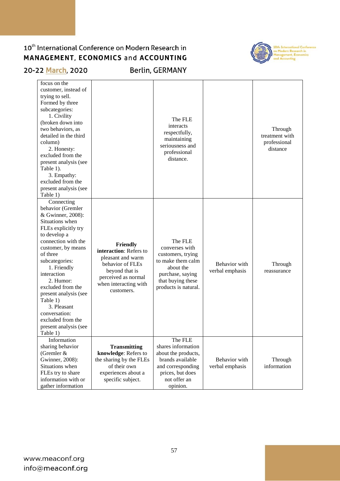

20-22 March, 2020

Berlin, GERMANY

| focus on the<br>customer, instead of<br>trying to sell.<br>Formed by three<br>subcategories:<br>1. Civility<br>(broken down into<br>two behaviors, as<br>detailed in the third<br>column)<br>2. Honesty:<br>excluded from the<br>present analysis (see<br>Table 1).<br>3. Empathy:<br>excluded from the<br>present analysis (see<br>Table 1)                                             |                                                                                                                                                             | The FLE<br>interacts<br>respectfully,<br>maintaining<br>seriousness and<br>professional<br>distance.                                              |                                  | Through<br>treatment with<br>professional<br>distance |
|------------------------------------------------------------------------------------------------------------------------------------------------------------------------------------------------------------------------------------------------------------------------------------------------------------------------------------------------------------------------------------------|-------------------------------------------------------------------------------------------------------------------------------------------------------------|---------------------------------------------------------------------------------------------------------------------------------------------------|----------------------------------|-------------------------------------------------------|
| Connecting<br>behavior (Gremler<br>& Gwinner, 2008):<br>Situations when<br>FLEs explicitly try<br>to develop a<br>connection with the<br>customer, by means<br>of three<br>subcategories:<br>1. Friendly<br>interaction<br>2. Humor:<br>excluded from the<br>present analysis (see<br>Table 1)<br>3. Pleasant<br>conversation:<br>excluded from the<br>present analysis (see<br>Table 1) | Friendly<br>interaction: Refers to<br>pleasant and warm<br>behavior of FLEs<br>beyond that is<br>perceived as normal<br>when interacting with<br>customers. | The FLE<br>converses with<br>customers, trying<br>to make them calm<br>about the<br>purchase, saying<br>that buying these<br>products is natural. | Behavior with<br>verbal emphasis | Through<br>reassurance                                |
| Information<br>sharing behavior<br>(Gremler &<br>Gwinner, 2008):<br>Situations when<br>FLEs try to share<br>information with or<br>gather information                                                                                                                                                                                                                                    | <b>Transmitting</b><br>knowledge: Refers to<br>the sharing by the FLEs<br>of their own<br>experiences about a<br>specific subject.                          | The FLE<br>shares information<br>about the products,<br>brands available<br>and corresponding<br>prices, but does<br>not offer an<br>opinion.     | Behavior with<br>verbal emphasis | Through<br>information                                |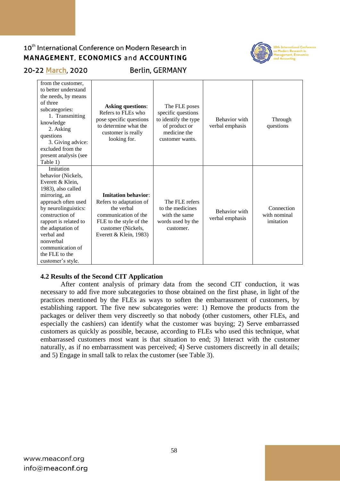

### 20-22 March, 2020

**Berlin, GERMANY** 

| from the customer.<br>to better understand<br>the needs, by means<br>of three<br>subcategories:<br>1. Transmitting<br>knowledge<br>2. Asking<br>questions<br>3. Giving advice:<br>excluded from the<br>present analysis (see<br>Table 1)                                                         | <b>Asking questions:</b><br>Refers to FLEs who<br>pose specific questions<br>to determine what the<br>customer is really<br>looking for.                               | The FLE poses<br>specific questions<br>to identify the type<br>of product or<br>medicine the<br>customer wants. | Behavior with<br>verbal emphasis | Through<br>questions                    |
|--------------------------------------------------------------------------------------------------------------------------------------------------------------------------------------------------------------------------------------------------------------------------------------------------|------------------------------------------------------------------------------------------------------------------------------------------------------------------------|-----------------------------------------------------------------------------------------------------------------|----------------------------------|-----------------------------------------|
| Imitation<br>behavior (Nickels,<br>Everett & Klein,<br>1983), also called<br>mirroring, an<br>approach often used<br>by neurolinguistics:<br>construction of<br>rapport is related to<br>the adaptation of<br>verbal and<br>nonverbal<br>communication of<br>the FLE to the<br>customer's style. | <b>Imitation behavior:</b><br>Refers to adaptation of<br>the verbal<br>communication of the<br>FLE to the style of the<br>customer (Nickels,<br>Everett & Klein, 1983) | The FLE refers<br>to the medicines<br>with the same<br>words used by the<br>customer.                           | Behavior with<br>verbal emphasis | Connection<br>with nominal<br>imitation |

### **4.2 Results of the Second CIT Application**

After content analysis of primary data from the second CIT conduction, it was necessary to add five more subcategories to those obtained on the first phase, in light of the practices mentioned by the FLEs as ways to soften the embarrassment of customers, by establishing rapport. The five new subcategories were: 1) Remove the products from the packages or deliver them very discreetly so that nobody (other customers, other FLEs, and especially the cashiers) can identify what the customer was buying; 2) Serve embarrassed customers as quickly as possible, because, according to FLEs who used this technique, what embarrassed customers most want is that situation to end; 3) Interact with the customer naturally, as if no embarrassment was perceived; 4) Serve customers discreetly in all details; and 5) Engage in small talk to relax the customer (see Table 3).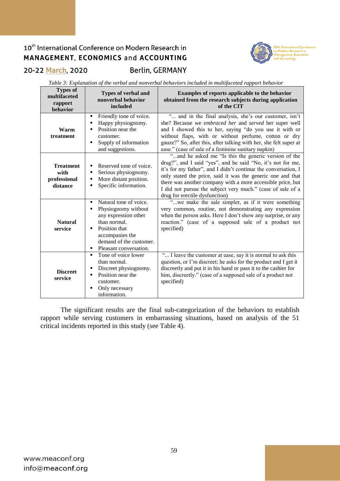

### 20-22 March, 2020

**Berlin, GERMANY** 

*Table 3: Explanation of the verbal and nonverbal behaviors included in multifaceted rapport behavior*

| <b>Types of</b><br>multifaceted<br>rapport<br>behavior | <b>Types of verbal and</b><br>nonverbal behavior<br>included                                                                                                                                                            | Examples of reports applicable to the behavior<br>obtained from the research subjects during application<br>of the CIT                                                                                                                                                                                                                                                                                               |
|--------------------------------------------------------|-------------------------------------------------------------------------------------------------------------------------------------------------------------------------------------------------------------------------|----------------------------------------------------------------------------------------------------------------------------------------------------------------------------------------------------------------------------------------------------------------------------------------------------------------------------------------------------------------------------------------------------------------------|
| Warm<br>treatment                                      | Friendly tone of voice.<br>٠<br>Happy physiognomy.<br>П<br>Position near the<br>п<br>customer.<br>Supply of information<br>п<br>and suggestions.                                                                        | " and in the final analysis, she's our customer, isn't<br>she? Because we embraced her and served her super well<br>and I showed this to her, saying "do you use it with or<br>without flaps, with or without perfume, cotton or dry<br>gauze?" So, after this, after talking with her, she felt super at<br>ease." (case of sale of a feminine sanitary napkin)                                                     |
| <b>Treatment</b><br>with<br>professional<br>distance   | Reserved tone of voice.<br>$\blacksquare$<br>Serious physiognomy.<br>Е<br>More distant position.<br>п<br>Specific information.<br>٠                                                                                     | "and he asked me "Is this the generic version of the<br>drug?", and I said "yes", and he said "No, it's not for me,<br>it's for my father", and I didn't continue the conversation, I<br>only stated the price, said it was the generic one and that<br>there was another company with a more accessible price, but<br>I did not pursue the subject very much." (case of sale of a<br>drug for erectile dysfunction) |
| <b>Natural</b><br>service                              | Natural tone of voice.<br>$\blacksquare$<br>Physiognomy without<br>any expression other<br>than normal.<br>Position that<br>$\blacksquare$<br>accompanies the<br>demand of the customer.<br>Pleasant conversation.<br>٠ | "we make the sale simpler, as if it were something<br>very common, routine, not demonstrating any expression<br>when the person asks. Here I don't show any surprise, or any<br>reaction." (case of a supposed sale of a product not<br>specified)                                                                                                                                                                   |
| <b>Discreet</b><br>service                             | Tone of voice lower<br>$\blacksquare$<br>than normal.<br>Discreet physiognomy.<br>Position near the<br>П<br>customer.<br>Only necessary<br>п<br>information.                                                            | " I leave the customer at ease, say it is normal to ask this<br>question, or I'm discreet; he asks for the product and I get it<br>discreetly and put it in his hand or pass it to the cashier for<br>him, discreetly." (case of a supposed sale of a product not<br>specified)                                                                                                                                      |

The significant results are the final sub-categorization of the behaviors to establish rapport while serving customers in embarrassing situations, based on analysis of the 51 critical incidents reported in this study (see Table 4).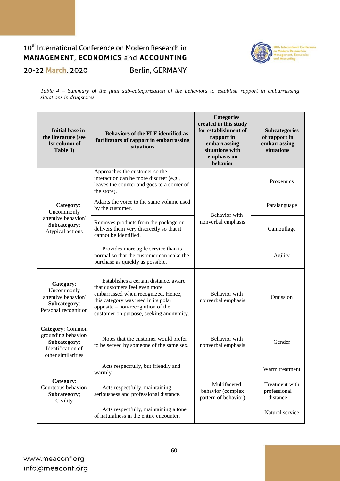### 10<sup>th</sup> International Conference on Modern Research in MANAGEMENT, ECONOMICS and ACCOUNTING **Berlin, GERMANY** 20-22 March, 2020



*Table 4 – Summary of the final sub-categorization of the behaviors to establish rapport in embarrassing situations in drugstores*

| <b>Initial base in</b><br>the literature (see<br>1st column of<br>Table 3)                         | <b>Behaviors of the FLF identified as</b><br>facilitators of rapport in embarrassing<br>situations                                                                                                                                   | <b>Categories</b><br>created in this study<br>for establishment of<br>rapport in<br>embarrassing<br>situations with<br>emphasis on<br>behavior | <b>Subcategories</b><br>of rapport in<br>embarrassing<br>situations |
|----------------------------------------------------------------------------------------------------|--------------------------------------------------------------------------------------------------------------------------------------------------------------------------------------------------------------------------------------|------------------------------------------------------------------------------------------------------------------------------------------------|---------------------------------------------------------------------|
|                                                                                                    | Approaches the customer so the<br>interaction can be more discreet (e.g.,<br>leaves the counter and goes to a corner of<br>the store).                                                                                               |                                                                                                                                                | Proxemics                                                           |
| Category:<br>Uncommonly                                                                            | Adapts the voice to the same volume used<br>by the customer.                                                                                                                                                                         | Behavior with                                                                                                                                  | Paralanguage                                                        |
| attentive behavior/<br>Subcategory:<br>Atypical actions                                            | Removes products from the package or<br>delivers them very discreetly so that it<br>cannot be identified.                                                                                                                            | nonverbal emphasis                                                                                                                             | Camouflage                                                          |
|                                                                                                    | Provides more agile service than is<br>normal so that the customer can make the<br>purchase as quickly as possible.                                                                                                                  |                                                                                                                                                | <b>Agility</b>                                                      |
| Category:<br>Uncommonly<br>attentive behavior/<br>Subcategory:<br>Personal recognition             | Establishes a certain distance, aware<br>that customers feel even more<br>embarrassed when recognized. Hence,<br>this category was used in its polar<br>opposite – non-recognition of the<br>customer on purpose, seeking anonymity. | Behavior with<br>nonverbal emphasis                                                                                                            | Omission                                                            |
| Category: Common<br>grounding behavior/<br>Subcategory:<br>Identification of<br>other similarities | Notes that the customer would prefer<br>to be served by someone of the same sex.                                                                                                                                                     | Behavior with<br>nonverbal emphasis                                                                                                            | Gender                                                              |
|                                                                                                    | Acts respectfully, but friendly and<br>warmly.                                                                                                                                                                                       |                                                                                                                                                | Warm treatment                                                      |
| Category:<br>Courteous behavior/<br>Subcategory;<br>Civility                                       | Multifaceted<br>Acts respectfully, maintaining<br>behavior (complex<br>seriousness and professional distance.<br>pattern of behavior)                                                                                                |                                                                                                                                                | Treatment with<br>professional<br>distance                          |
|                                                                                                    | Acts respectfully, maintaining a tone<br>of naturalness in the entire encounter.                                                                                                                                                     |                                                                                                                                                | Natural service                                                     |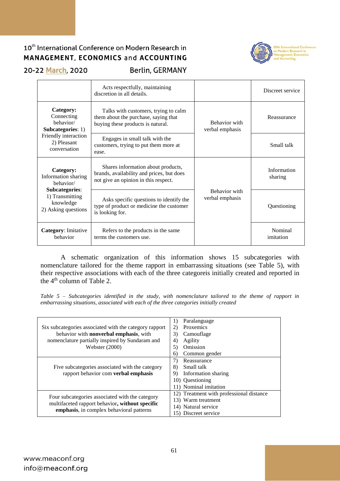

20-22 March, 2020

**Berlin, GERMANY** 

|                                                                       | Acts respectfully, maintaining<br>discretion in all details.                                                            |                                  | Discreet service       |
|-----------------------------------------------------------------------|-------------------------------------------------------------------------------------------------------------------------|----------------------------------|------------------------|
| Category:<br>Connecting<br>hehavior/<br>Subcategories: 1)             | Talks with customers, trying to calm<br>them about the purchase, saying that<br>buying these products is natural.       | Behavior with<br>verbal emphasis | Reassurance            |
| Friendly interaction<br>2) Pleasant<br>conversation                   | Engages in small talk with the<br>customers, trying to put them more at<br>ease.                                        |                                  | Small talk             |
| Category:<br>Information sharing<br>hehavior/                         | Shares information about products,<br>brands, availability and prices, but does<br>not give an opinion in this respect. |                                  | Information<br>sharing |
| Subcategories:<br>1) Transmitting<br>knowledge<br>2) Asking questions | Asks specific questions to identify the<br>type of product or medicine the customer<br>is looking for.                  | Behavior with<br>verbal emphasis | Questioning            |
| Category: Imitative<br>behavior                                       | Refers to the products in the same<br>terms the customers use.                                                          |                                  | Nominal<br>imitation   |

A schematic organization of this information shows 15 subcategories with nomenclature tailored for the theme rapport in embarrassing situations (see Table 5), with their respective associations with each of the three categoreis initially created and reported in the  $4<sup>th</sup>$  column of Table 2.

*Table 5 – Subcategories identified in the study, with nomenclature tailored to the theme of rapport in embarrassing situations, associated with each of the three categories initially created*

|                                                        | Paralanguage<br>1)                       |
|--------------------------------------------------------|------------------------------------------|
| Six subcategories associated with the category rapport | Proxemics<br>2)                          |
| behavior with <b>nonverbal emphasis</b> , with         | 3)<br>Camouflage                         |
| nomenclature partially inspired by Sundaram and        | Agility<br>4)                            |
| <b>Webster</b> (2000)                                  | 5)<br>Omission                           |
|                                                        | Common gender<br>6)                      |
|                                                        | Reassurance<br>7)                        |
| Five subcategories associated with the category        | Small talk<br>8)                         |
| rapport behavior com verbal emphasis                   | 9)<br>Information sharing                |
|                                                        | 10) Ouestioning                          |
|                                                        | 11) Nominal imitation                    |
|                                                        | 12) Treatment with professional distance |
| Four subcategories associated with the category        | 13) Warm treatment                       |
| multifaceted rapport behavior, without specific        | 14) Natural service                      |
| emphasis, in complex behavioral patterns               | 15) Discreet service                     |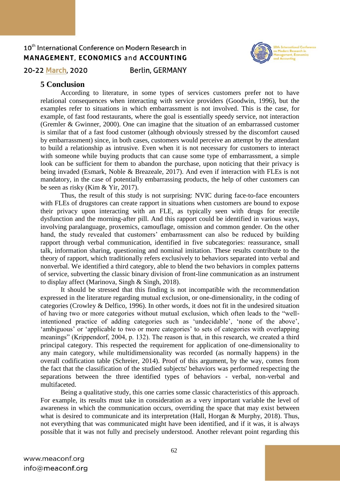

20-22 March, 2020

**Berlin, GERMANY** 

### **5 Conclusion**

According to literature, in some types of services customers prefer not to have relational consequences when interacting with service providers (Goodwin, 1996), but the examples refer to situations in which embarrassment is not involved. This is the case, for example, of fast food restaurants, where the goal is essentially speedy service, not interaction (Gremler & Gwinner, 2000). One can imagine that the situation of an embarrassed customer is similar that of a fast food customer (although obviously stressed by the discomfort caused by embarrassment) since, in both cases, customers would perceive an attempt by the attendant to build a relationship as intrusive. Even when it is not necessary for customers to interact with someone while buying products that can cause some type of embarrassment, a simple look can be sufficient for them to abandon the purchase, upon noticing that their privacy is being invaded (Esmark, Noble & Breazeale, 2017). And even if interaction with FLEs is not mandatory, in the case of potentially embarrassing products, the help of other customers can be seen as risky (Kim & Yir, 2017).

Thus, the result of this study is not surprising: NVIC during face-to-face encounters with FLEs of drugstores can create rapport in situations when customers are bound to expose their privacy upon interacting with an FLE, as typically seen with drugs for erectile dysfunction and the morning-after pill. And this rapport could be identified in various ways, involving paralanguage, proxemics, camouflage, omission and common gender. On the other hand, the study revealed that customers' embarrassment can also be reduced by building rapport through verbal communication, identified in five subcategories: reassurance, small talk, information sharing, questioning and nominal imitation. These results contribute to the theory of rapport, which traditionally refers exclusively to behaviors separated into verbal and nonverbal. We identified a third category, able to blend the two behaviors in complex patterns of service, subverting the classic binary division of front-line communication as an instrument to display affect (Marinova, Singh & Singh, 2018).

It should be stressed that this finding is not incompatible with the recommendation expressed in the literature regarding mutual exclusion, or one-dimensionality, in the coding of categories (Crowley & Delfico, 1996). In other words, it does not fit in the undesired situation of having two or more categories without mutual exclusion, which often leads to the "wellintentioned practice of adding categories such as 'undecidable', 'none of the above', 'ambiguous' or 'applicable to two or more categories' to sets of categories with overlapping meanings" (Krippendorf, 2004, p. 132). The reason is that, in this research, we created a third principal category. This respected the requirement for application of one-dimensionality to any main category, while multidimensionality was recorded (as normally happens) in the overall codification table (Schreier, 2014). Proof of this argument, by the way, comes from the fact that the classification of the studied subjects' behaviors was performed respecting the separations between the three identified types of behaviors - verbal, non-verbal and multifaceted.

Being a qualitative study, this one carries some classic characteristics of this approach. For example, its results must take in consideration as a very important variable the level of awareness in which the communication occurs, overriding the space that may exist between what is desired to communicate and its interpretation (Hall, Horgan & Murphy, 2018). Thus, not everything that was communicated might have been identified, and if it was, it is always possible that it was not fully and precisely understood. Another relevant point regarding this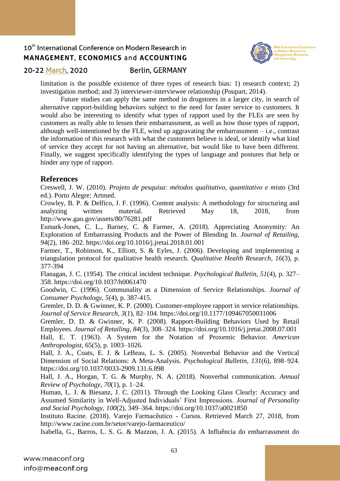

### 20-22 March, 2020

### **Berlin, GERMANY**

limitation is the possible existence of three types of research bias: 1) research context; 2) investigation method; and 3) interviewer-interviewee relationship (Poupart, 2014).

Future studies can apply the same method in drugstores in a larger city, in search of alternative rapport-building behaviors subject to the need for faster service to customers. It would also be interesting to identify what types of rapport used by the FLEs are seen by customers as really able to lessen their embarrassment, as well as how those types of rapport, although well-intentioned by the FLE, wind up aggravating the embarrassment  $-$  i.e., contrast the information of this research with what the customers believe is ideal, or identify what kind of service they accept for not having an alternative, but would like to have been different. Finally, we suggest specifically identifying the types of language and postures that help or hinder any type of rapport.

### **References**

Creswell, J. W. (2010). *Projeto de pesquisa: métodos qualitativo, quantitativo e misto* (3rd ed.). Porto Alegre: Artmed.

Crowley, B. P. & Delfico, J. F. (1996). Content analysis: A methodology for structuring and analyzing written material. Retrieved May 18, 2018, from http://www.gao.gov/assets/80/76281.pdf

Esmark-Jones, C. L., Barney, C. & Farmer, A. (2018). Appreciating Anonymity: An Exploration of Embarrassing Products and the Power of Blending In. *Journal of Retailing*, *94*(2), 186–202. https://doi.org/10.1016/j.jretai.2018.01.001

Farmer, T., Robinson, K., Elliott, S. & Eyles, J. (2006). Developing and implementing a triangulation protocol for qualitative health research. *Qualitative Health Research*, *16*(3), p. 377-394

Flanagan, J. C. (1954). The critical incident technique. *Psychological Bulletin*, *51*(4), p. 327– 358. https://doi.org/10.1037/h0061470

Goodwin, C. (1996). Communality as a Dimension of Service Relationships. *Journal of Consumer Psychology*, *5*(4), p. 387-415.

Gremler, D. D. & Gwinner, K. P. (2000). Customer-employee rapport in service relationships. *Journal of Service Research*, *3*(1), 82–104. https://doi.org/10.1177/109467050031006

Gremler, D. D. & Gwinner, K. P. (2008). Rapport-Building Behaviors Used by Retail Employees. *Journal of Retailing*, *84*(3), 308–324. https://doi.org/10.1016/j.jretai.2008.07.001

Hall, E. T. (1963). A System for the Notation of Proxemic Behavior. *American Anthropologist*, 65(5), p. 1003–1026.

Hall, J. A., Coats, E. J. & LeBeau, L. S. (2005). Nonverbal Behavior and the Vertical Dimension of Social Relations: A Meta-Analysis. *Psychological Bulletin*, *131*(6), 898–924. https://doi.org/10.1037/0033-2909.131.6.898

Hall, J. A., Horgan, T. G. & Murphy, N. A. (2018). Nonverbal communication. *Annual Review of Psychology*, *70*(1), p. 1–24.

Human, L. J. & Biesanz, J. C. (2011). Through the Looking Glass Clearly: Accuracy and Assumed Similarity in Well-Adjusted Individuals' First Impressions. *Journal of Personality and Social Psychology*, *100*(2), 349–364. https://doi.org/10.1037/a0021850

Instituto Racine. (2018). Varejo Farmacêutico - Cursos. Retrieved March 27, 2018, from http://www.racine.com.br/setor/varejo-farmaceutico/

Isabella, G., Barros, L. S. G. & Mazzon, J. A. (2015). A Influência do embarrassment do